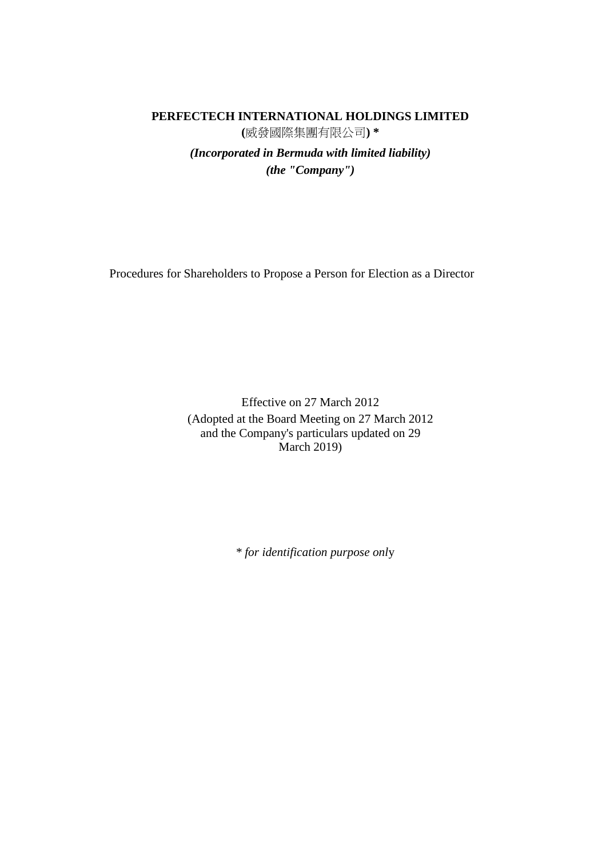## **PERFECTECH INTERNATIONAL HOLDINGS LIMITED (**威發國際集團有限公司**) \*** *(Incorporated in Bermuda with limited liability) (the "Company")*

Procedures for Shareholders to Propose a Person for Election as a Director

Effective on 27 March 2012 (Adopted at the Board Meeting on 27 March 2012 and the Company's particulars updated on 29 March 2019)

*\* for identification purpose onl*y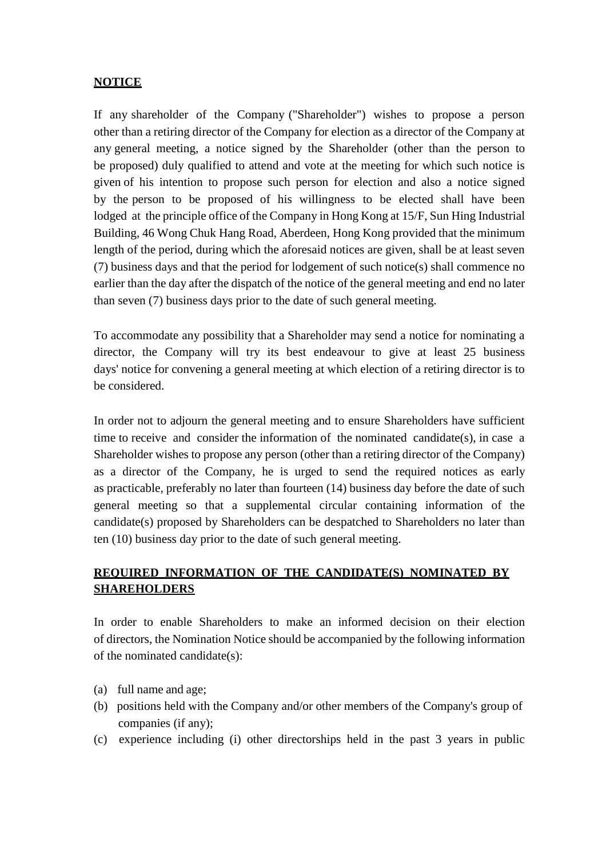## **NOTICE**

If any shareholder of the Company ("Shareholder") wishes to propose a person other than a retiring director of the Company for election as a director of the Company at any general meeting, a notice signed by the Shareholder (other than the person to be proposed) duly qualified to attend and vote at the meeting for which such notice is given of his intention to propose such person for election and also a notice signed by the person to be proposed of his willingness to be elected shall have been lodged at the principle office of the Company in Hong Kong at 15/F, Sun Hing Industrial Building, 46 Wong Chuk Hang Road, Aberdeen, Hong Kong provided that the minimum length of the period, during which the aforesaid notices are given, shall be at least seven (7) business days and that the period for lodgement of such notice(s) shall commence no earlier than the day after the dispatch of the notice of the general meeting and end no later than seven (7) business days prior to the date of such general meeting.

To accommodate any possibility that a Shareholder may send a notice for nominating a director, the Company will try its best endeavour to give at least 25 business days' notice for convening a general meeting at which election of a retiring director is to be considered.

In order not to adjourn the general meeting and to ensure Shareholders have sufficient time to receive and consider the information of the nominated candidate(s), in case a Shareholder wishes to propose any person (other than a retiring director of the Company) as a director of the Company, he is urged to send the required notices as early as practicable, preferably no later than fourteen (14) business day before the date of such general meeting so that a supplemental circular containing information of the candidate(s) proposed by Shareholders can be despatched to Shareholders no later than ten (10) business day prior to the date of such general meeting.

## **REQUIRED INFORMATION OF THE CANDIDATE(S) NOMINATED BY SHAREHOLDERS**

In order to enable Shareholders to make an informed decision on their election of directors, the Nomination Notice should be accompanied by the following information of the nominated candidate(s):

- (a) full name and age;
- (b) positions held with the Company and/or other members of the Company's group of companies (if any);
- (c) experience including (i) other directorships held in the past 3 years in public